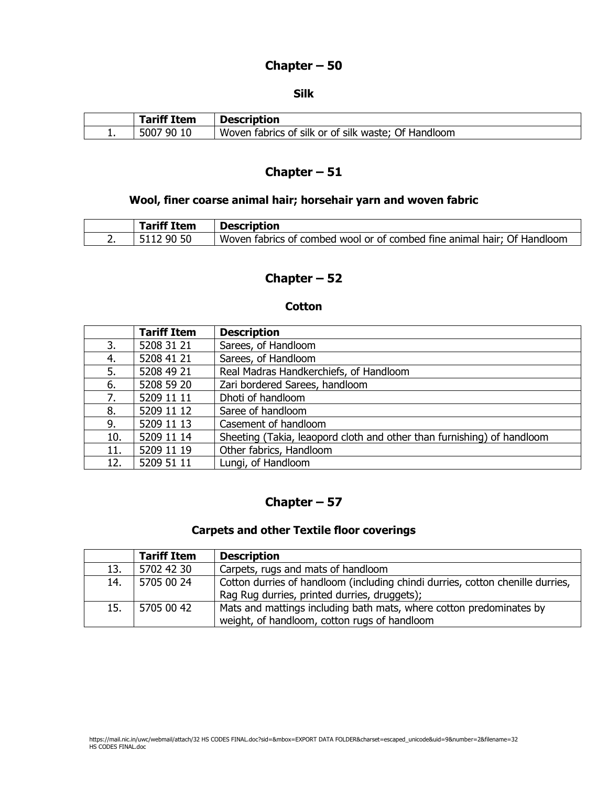### **Chapter – 50**

#### **Silk**

|          | <sup>e</sup> f Item | <b>Description</b>                                        |
|----------|---------------------|-----------------------------------------------------------|
| <b>.</b> | 5007<br>-90         | fabrics of silk or of silk waste;<br>Of Handloom<br>Woven |

# **Chapter – 51**

## **Wool, finer coarse animal hair; horsehair yarn and woven fabric**

| <b>Tariff Item</b> | <b>Description</b>                                                      |
|--------------------|-------------------------------------------------------------------------|
| 12 90 50           | Woven fabrics of combed wool or of combed fine animal hair; Of Handloom |

## **Chapter – 52**

#### **Cotton**

|     | <b>Tariff Item</b> | <b>Description</b>                                                     |
|-----|--------------------|------------------------------------------------------------------------|
| 3.  | 5208 31 21         | Sarees, of Handloom                                                    |
| 4.  | 5208 41 21         | Sarees, of Handloom                                                    |
| 5.  | 5208 49 21         | Real Madras Handkerchiefs, of Handloom                                 |
| 6.  | 5208 59 20         | Zari bordered Sarees, handloom                                         |
| 7.  | 5209 11 11         | Dhoti of handloom                                                      |
| 8.  | 5209 11 12         | Saree of handloom                                                      |
| 9.  | 5209 11 13         | Casement of handloom                                                   |
| 10. | 5209 11 14         | Sheeting (Takia, leaopord cloth and other than furnishing) of handloom |
| 11. | 5209 11 19         | Other fabrics, Handloom                                                |
| 12. | 5209 51 11         | Lungi, of Handloom                                                     |

## **Chapter – 57**

### **Carpets and other Textile floor coverings**

|     | <b>Tariff Item</b> | <b>Description</b>                                                             |
|-----|--------------------|--------------------------------------------------------------------------------|
| 13. | 5702 42 30         | Carpets, rugs and mats of handloom                                             |
| 14. | 5705 00 24         | Cotton durries of handloom (including chindi durries, cotton chenille durries, |
|     |                    | Rag Rug durries, printed durries, druggets);                                   |
| 15. | 5705 00 42         | Mats and mattings including bath mats, where cotton predominates by            |
|     |                    | weight, of handloom, cotton rugs of handloom                                   |